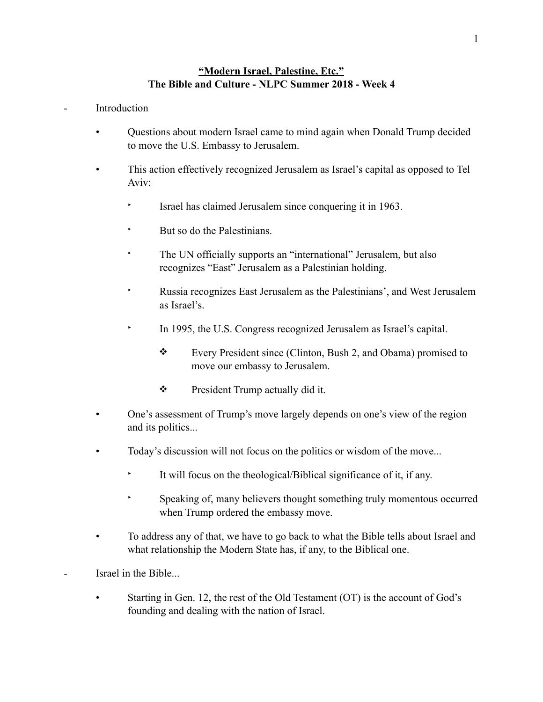## **"Modern Israel, Palestine, Etc." The Bible and Culture - NLPC Summer 2018 - Week 4**

## **Introduction**

- Questions about modern Israel came to mind again when Donald Trump decided to move the U.S. Embassy to Jerusalem.
- This action effectively recognized Jerusalem as Israel's capital as opposed to Tel Aviv:
	- ‣ Israel has claimed Jerusalem since conquering it in 1963.
	- But so do the Palestinians.
	- The UN officially supports an "international" Jerusalem, but also recognizes "East" Jerusalem as a Palestinian holding.
	- ‣ Russia recognizes East Jerusalem as the Palestinians', and West Jerusalem as Israel's.
	- In 1995, the U.S. Congress recognized Jerusalem as Israel's capital.
		- ❖ Every President since (Clinton, Bush 2, and Obama) promised to move our embassy to Jerusalem.
		- ❖ President Trump actually did it.
- One's assessment of Trump's move largely depends on one's view of the region and its politics...
- Today's discussion will not focus on the politics or wisdom of the move...
	- ‣ It will focus on the theological/Biblical significance of it, if any.
	- ‣ Speaking of, many believers thought something truly momentous occurred when Trump ordered the embassy move.
- To address any of that, we have to go back to what the Bible tells about Israel and what relationship the Modern State has, if any, to the Biblical one.
- Israel in the Bible...
	- Starting in Gen. 12, the rest of the Old Testament (OT) is the account of God's founding and dealing with the nation of Israel.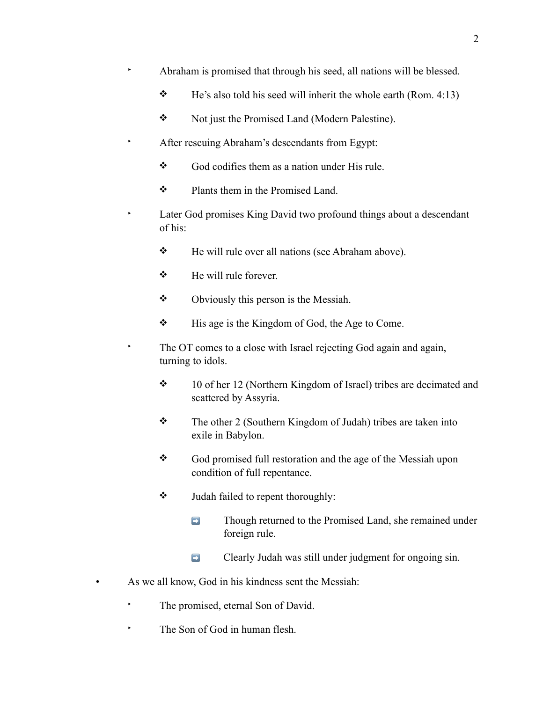- ‣ Abraham is promised that through his seed, all nations will be blessed.
	- $\div$  He's also told his seed will inherit the whole earth (Rom. 4:13)
	- ❖ Not just the Promised Land (Modern Palestine).
- ‣ After rescuing Abraham's descendants from Egypt:
	- ❖ God codifies them as a nation under His rule.
	- ❖ Plants them in the Promised Land.
- ‣ Later God promises King David two profound things about a descendant of his:
	- ❖ He will rule over all nations (see Abraham above).
	- ❖ He will rule forever.
	- ❖ Obviously this person is the Messiah.
	- ❖ His age is the Kingdom of God, the Age to Come.
- ‣ The OT comes to a close with Israel rejecting God again and again, turning to idols.
	- ❖ 10 of her 12 (Northern Kingdom of Israel) tribes are decimated and scattered by Assyria.
	- ❖ The other 2 (Southern Kingdom of Judah) tribes are taken into exile in Babylon.
	- ❖ God promised full restoration and the age of the Messiah upon condition of full repentance.
	- ❖ Judah failed to repent thoroughly:
		- **Example 2** Though returned to the Promised Land, she remained under foreign rule.
		- ➡ Clearly Judah was still under judgment for ongoing sin.
- As we all know, God in his kindness sent the Messiah:
	- The promised, eternal Son of David.
	- ‣ The Son of God in human flesh.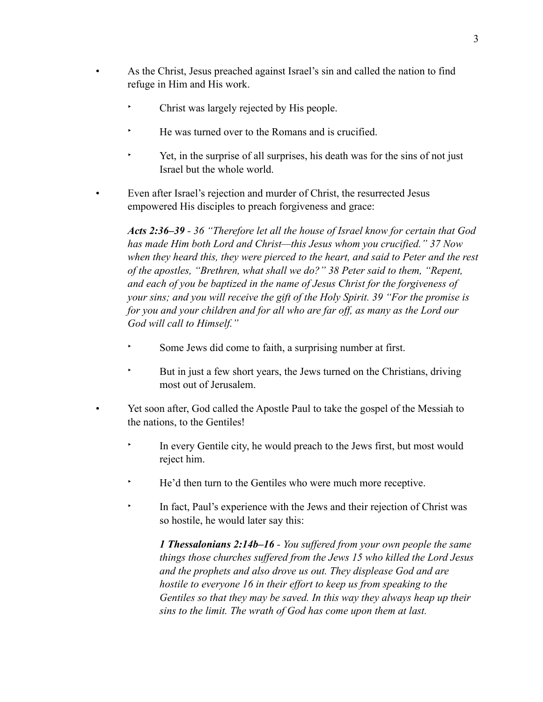- As the Christ, Jesus preached against Israel's sin and called the nation to find refuge in Him and His work.
	- Christ was largely rejected by His people.
	- ‣ He was turned over to the Romans and is crucified.
	- ‣ Yet, in the surprise of all surprises, his death was for the sins of not just Israel but the whole world.
- Even after Israel's rejection and murder of Christ, the resurrected Jesus empowered His disciples to preach forgiveness and grace:

*Acts 2:36–39 - 36 "Therefore let all the house of Israel know for certain that God has made Him both Lord and Christ—this Jesus whom you crucified." 37 Now when they heard this, they were pierced to the heart, and said to Peter and the rest of the apostles, "Brethren, what shall we do?" 38 Peter said to them, "Repent, and each of you be baptized in the name of Jesus Christ for the forgiveness of your sins; and you will receive the gift of the Holy Spirit. 39 "For the promise is for you and your children and for all who are far off, as many as the Lord our God will call to Himself."* 

- Some Jews did come to faith, a surprising number at first.
- But in just a few short years, the Jews turned on the Christians, driving most out of Jerusalem.
- Yet soon after, God called the Apostle Paul to take the gospel of the Messiah to the nations, to the Gentiles!
	- In every Gentile city, he would preach to the Jews first, but most would reject him.
	- ‣ He'd then turn to the Gentiles who were much more receptive.
	- In fact, Paul's experience with the Jews and their rejection of Christ was so hostile, he would later say this:

*1 Thessalonians 2:14b–16 - You suffered from your own people the same things those churches suffered from the Jews 15 who killed the Lord Jesus and the prophets and also drove us out. They displease God and are hostile to everyone 16 in their effort to keep us from speaking to the Gentiles so that they may be saved. In this way they always heap up their sins to the limit. The wrath of God has come upon them at last.*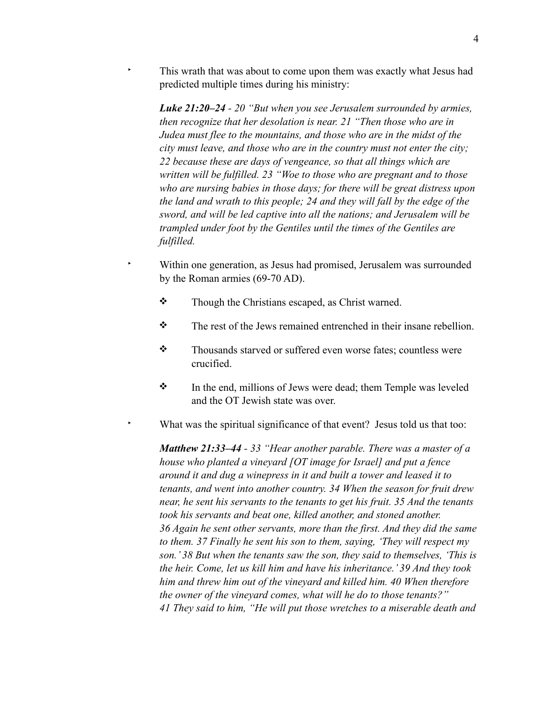This wrath that was about to come upon them was exactly what Jesus had predicted multiple times during his ministry:

*Luke 21:20–24 - 20 "But when you see Jerusalem surrounded by armies, then recognize that her desolation is near. 21 "Then those who are in Judea must flee to the mountains, and those who are in the midst of the city must leave, and those who are in the country must not enter the city; 22 because these are days of vengeance, so that all things which are written will be fulfilled. 23 "Woe to those who are pregnant and to those who are nursing babies in those days; for there will be great distress upon the land and wrath to this people; 24 and they will fall by the edge of the sword, and will be led captive into all the nations; and Jerusalem will be trampled under foot by the Gentiles until the times of the Gentiles are fulfilled.* 

- ‣ Within one generation, as Jesus had promised, Jerusalem was surrounded by the Roman armies (69-70 AD).
	- ❖ Though the Christians escaped, as Christ warned.
	- $\mathbf{\hat{P}}$  The rest of the Jews remained entrenched in their insane rebellion.
	- ❖ Thousands starved or suffered even worse fates; countless were crucified.
	- ❖ In the end, millions of Jews were dead; them Temple was leveled and the OT Jewish state was over.

What was the spiritual significance of that event? Jesus told us that too:

*Matthew 21:33–44 - 33 "Hear another parable. There was a master of a house who planted a vineyard [OT image for Israel] and put a fence around it and dug a winepress in it and built a tower and leased it to tenants, and went into another country. 34 When the season for fruit drew near, he sent his servants to the tenants to get his fruit. 35 And the tenants took his servants and beat one, killed another, and stoned another. 36 Again he sent other servants, more than the first. And they did the same to them. 37 Finally he sent his son to them, saying, 'They will respect my son.' 38 But when the tenants saw the son, they said to themselves, 'This is the heir. Come, let us kill him and have his inheritance.' 39 And they took him and threw him out of the vineyard and killed him. 40 When therefore the owner of the vineyard comes, what will he do to those tenants?" 41 They said to him, "He will put those wretches to a miserable death and*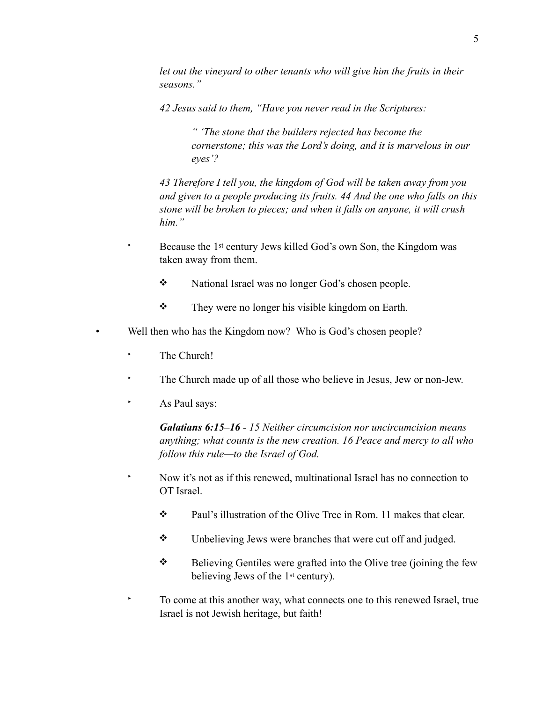*let out the vineyard to other tenants who will give him the fruits in their seasons."* 

*42 Jesus said to them, "Have you never read in the Scriptures:* 

*" 'The stone that the builders rejected has become the cornerstone; this was the Lord's doing, and it is marvelous in our eyes'?* 

*43 Therefore I tell you, the kingdom of God will be taken away from you and given to a people producing its fruits. 44 And the one who falls on this stone will be broken to pieces; and when it falls on anyone, it will crush him."* 

- Because the 1<sup>st</sup> century Jews killed God's own Son, the Kingdom was taken away from them.
	- ❖ National Israel was no longer God's chosen people.
	- ❖ They were no longer his visible kingdom on Earth.
- Well then who has the Kingdom now? Who is God's chosen people?
	- The Church!
	- ‣ The Church made up of all those who believe in Jesus, Jew or non-Jew.
	- ‣ As Paul says:

*Galatians 6:15–16 - 15 Neither circumcision nor uncircumcision means anything; what counts is the new creation. 16 Peace and mercy to all who follow this rule—to the Israel of God.*

- ‣ Now it's not as if this renewed, multinational Israel has no connection to OT Israel.
	- ❖ Paul's illustration of the Olive Tree in Rom. 11 makes that clear.
	- ❖ Unbelieving Jews were branches that were cut off and judged.
	- ❖ Believing Gentiles were grafted into the Olive tree (joining the few believing Jews of the 1st century).

‣ To come at this another way, what connects one to this renewed Israel, true Israel is not Jewish heritage, but faith!